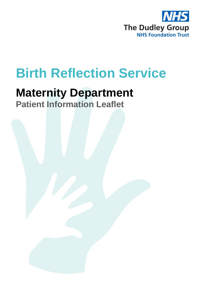

# **Birth Reflection Service**

## **Maternity Department**

**Patient Information Leaflet**

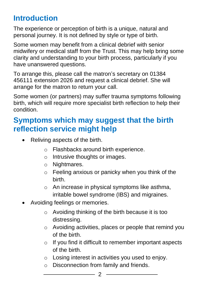## **Introduction**

The experience or perception of birth is a unique, natural and personal journey. It is not defined by style or type of birth.

Some women may benefit from a clinical debrief with senior midwifery or medical staff from the Trust. This may help bring some clarity and understanding to your birth process, particularly if you have unanswered questions.

To arrange this, please call the matron's secretary on 01384 456111 extension 2026 and request a clinical debrief. She will arrange for the matron to return your call.

Some women (or partners) may suffer trauma symptoms following birth, which will require more specialist birth reflection to help their condition.

### **Symptoms which may suggest that the birth reflection service might help**

- Reliving aspects of the birth.
	- o Flashbacks around birth experience.
	- o Intrusive thoughts or images.
	- o Nightmares.
	- o Feeling anxious or panicky when you think of the birth.
	- o An increase in physical symptoms like asthma, irritable bowel syndrome (IBS) and migraines.
- Avoiding feelings or memories.
	- o Avoiding thinking of the birth because it is too distressing.
	- o Avoiding activities, places or people that remind you of the birth.
	- o If you find it difficult to remember important aspects of the birth.
	- o Losing interest in activities you used to enjoy.
	- o Disconnection from family and friends.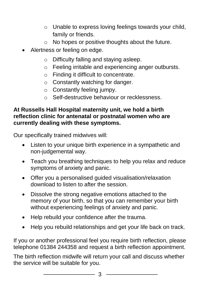- o Unable to express loving feelings towards your child, family or friends.
- o No hopes or positive thoughts about the future.
- Alertness or feeling on edge.
	- o Difficulty falling and staying asleep.
	- o Feeling irritable and experiencing anger outbursts.
	- o Finding it difficult to concentrate.
	- o Constantly watching for danger.
	- o Constantly feeling jumpy.
	- o Self-destructive behaviour or recklessness.

#### **At Russells Hall Hospital maternity unit, we hold a birth reflection clinic for antenatal or postnatal women who are currently dealing with these symptoms.**

Our specifically trained midwives will:

- Listen to your unique birth experience in a sympathetic and non-judgemental way.
- Teach you breathing techniques to help you relax and reduce symptoms of anxiety and panic.
- Offer you a personalised guided visualisation/relaxation download to listen to after the session.
- Dissolve the strong negative emotions attached to the memory of your birth, so that you can remember your birth without experiencing feelings of anxiety and panic.
- Help rebuild your confidence after the trauma.
- Help you rebuild relationships and get your life back on track.

If you or another professional feel you require birth reflection, please telephone 01384 244358 and request a birth reflection appointment.

The birth reflection midwife will return your call and discuss whether the service will be suitable for you.